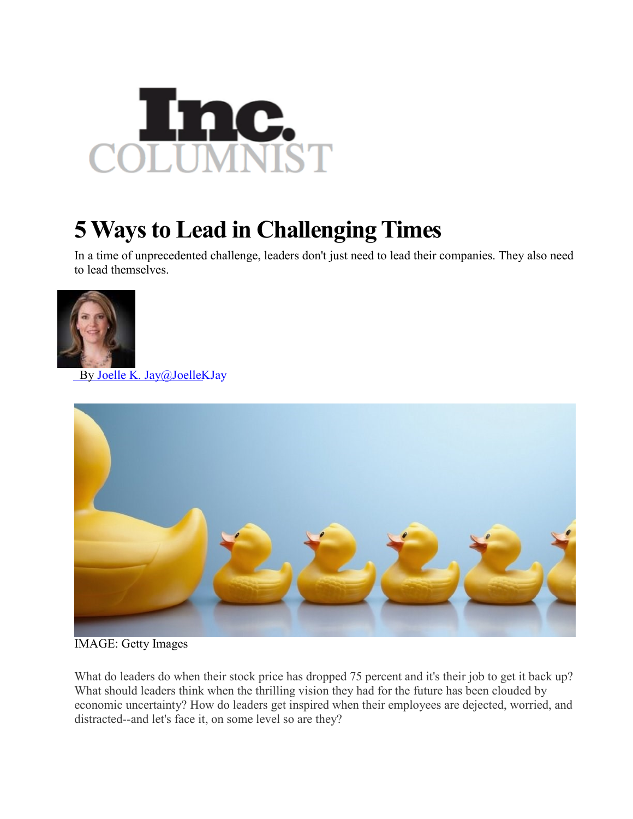

## **5 Ways to Lead in Challenging Times**

In a time of unprecedented challenge, leaders don't just need to lead their companies. They also need to lead themselves.



By Joelle K. [Jay@JoelleKJay](http://www.inc.com/author/joelle-k-jay)



IMAGE: Getty Images

What do leaders do when their stock price has dropped 75 percent and it's their job to get it back up? What should leaders think when the thrilling vision they had for the future has been clouded by economic uncertainty? How do leaders get inspired when their employees are dejected, worried, and distracted--and let's face it, on some level so are they?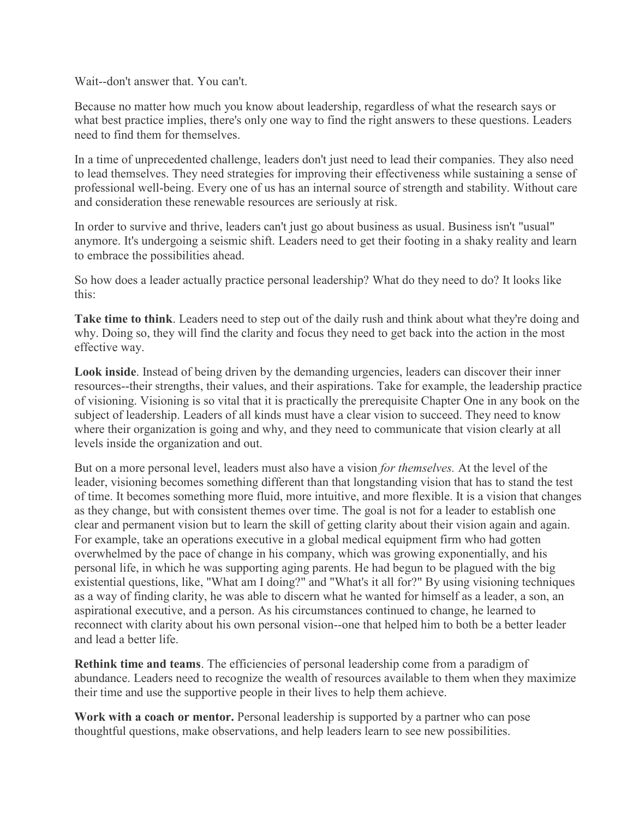Wait--don't answer that. You can't.

Because no matter how much you know about leadership, regardless of what the research says or what best practice implies, there's only one way to find the right answers to these questions. Leaders need to find them for themselves.

In a time of unprecedented challenge, leaders don't just need to lead their companies. They also need to lead themselves. They need strategies for improving their effectiveness while sustaining a sense of professional well-being. Every one of us has an internal source of strength and stability. Without care and consideration these renewable resources are seriously at risk.

In order to survive and thrive, leaders can't just go about business as usual. Business isn't "usual" anymore. It's undergoing a seismic shift. Leaders need to get their footing in a shaky reality and learn to embrace the possibilities ahead.

So how does a leader actually practice personal leadership? What do they need to do? It looks like this:

**Take time to think**. Leaders need to step out of the daily rush and think about what they're doing and why. Doing so, they will find the clarity and focus they need to get back into the action in the most effective way.

**Look inside**. Instead of being driven by the demanding urgencies, leaders can discover their inner resources--their strengths, their values, and their aspirations. Take for example, the leadership practice of visioning. Visioning is so vital that it is practically the prerequisite Chapter One in any book on the subject of leadership. Leaders of all kinds must have a clear vision to succeed. They need to know where their organization is going and why, and they need to communicate that vision clearly at all levels inside the organization and out.

But on a more personal level, leaders must also have a vision *for themselves.* At the level of the leader, visioning becomes something different than that longstanding vision that has to stand the test of time. It becomes something more fluid, more intuitive, and more flexible. It is a vision that changes as they change, but with consistent themes over time. The goal is not for a leader to establish one clear and permanent vision but to learn the skill of getting clarity about their vision again and again. For example, take an operations executive in a global medical equipment firm who had gotten overwhelmed by the pace of change in his company, which was growing exponentially, and his personal life, in which he was supporting aging parents. He had begun to be plagued with the big existential questions, like, "What am I doing?" and "What's it all for?" By using visioning techniques as a way of finding clarity, he was able to discern what he wanted for himself as a leader, a son, an aspirational executive, and a person. As his circumstances continued to change, he learned to reconnect with clarity about his own personal vision--one that helped him to both be a better leader and lead a better life.

**Rethink time and teams**. The efficiencies of personal leadership come from a paradigm of abundance. Leaders need to recognize the wealth of resources available to them when they maximize their time and use the supportive people in their lives to help them achieve.

**Work with a coach or mentor.** Personal leadership is supported by a partner who can pose thoughtful questions, make observations, and help leaders learn to see new possibilities.